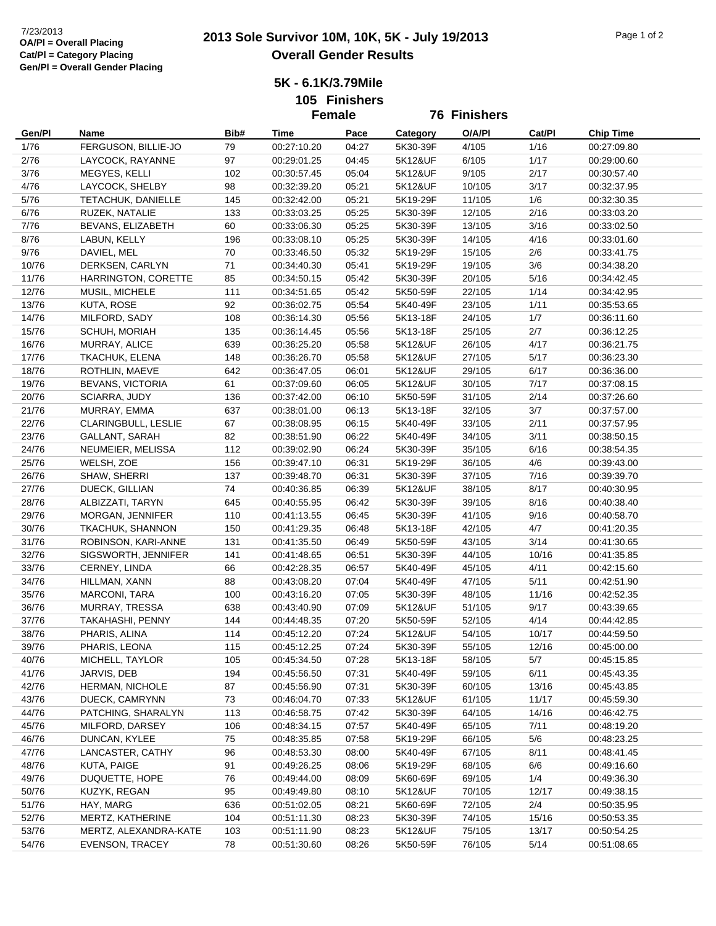**5K - 6.1K/3.79Mile**

**105 Finishers**

|        |                         |      | <b>Female</b> |       | <b>76 Finishers</b> |        |        |                  |
|--------|-------------------------|------|---------------|-------|---------------------|--------|--------|------------------|
| Gen/Pl | Name                    | Bib# | Time          | Pace  | Category            | O/A/PI | Cat/Pl | <b>Chip Time</b> |
| 1/76   | FERGUSON, BILLIE-JO     | 79   | 00:27:10.20   | 04:27 | 5K30-39F            | 4/105  | 1/16   | 00:27:09.80      |
| 2/76   | LAYCOCK, RAYANNE        | 97   | 00:29:01.25   | 04:45 | 5K12&UF             | 6/105  | 1/17   | 00:29:00.60      |
| 3/76   | MEGYES, KELLI           | 102  | 00:30:57.45   | 05:04 | 5K12&UF             | 9/105  | 2/17   | 00:30:57.40      |
| 4/76   | LAYCOCK, SHELBY         | 98   | 00:32:39.20   | 05:21 | 5K12&UF             | 10/105 | 3/17   | 00:32:37.95      |
| 5/76   | TETACHUK, DANIELLE      | 145  | 00:32:42.00   | 05:21 | 5K19-29F            | 11/105 | 1/6    | 00:32:30.35      |
| 6/76   | RUZEK, NATALIE          | 133  | 00:33:03.25   | 05:25 | 5K30-39F            | 12/105 | 2/16   | 00:33:03.20      |
| 7/76   | BEVANS, ELIZABETH       | 60   | 00:33:06.30   | 05:25 | 5K30-39F            | 13/105 | 3/16   | 00:33:02.50      |
| 8/76   | LABUN, KELLY            | 196  | 00:33:08.10   | 05:25 | 5K30-39F            | 14/105 | 4/16   | 00:33:01.60      |
| 9/76   | DAVIEL, MEL             | 70   | 00:33:46.50   | 05:32 | 5K19-29F            | 15/105 | 2/6    | 00:33:41.75      |
| 10/76  | DERKSEN, CARLYN         | 71   | 00:34:40.30   | 05:41 | 5K19-29F            | 19/105 | 3/6    | 00:34:38.20      |
| 11/76  | HARRINGTON, CORETTE     | 85   | 00:34:50.15   | 05:42 | 5K30-39F            | 20/105 | $5/16$ | 00:34:42.45      |
| 12/76  | MUSIL, MICHELE          | 111  | 00:34:51.65   | 05:42 | 5K50-59F            | 22/105 | 1/14   | 00:34:42.95      |
| 13/76  | <b>KUTA, ROSE</b>       | 92   | 00:36:02.75   | 05:54 | 5K40-49F            | 23/105 | 1/11   | 00:35:53.65      |
| 14/76  | MILFORD, SADY           | 108  | 00:36:14.30   | 05:56 | 5K13-18F            | 24/105 | 1/7    | 00:36:11.60      |
| 15/76  | SCHUH, MORIAH           | 135  | 00:36:14.45   | 05:56 | 5K13-18F            | 25/105 | 2/7    | 00:36:12.25      |
| 16/76  | MURRAY, ALICE           | 639  | 00:36:25.20   | 05:58 | 5K12&UF             | 26/105 | 4/17   | 00:36:21.75      |
| 17/76  | TKACHUK, ELENA          | 148  | 00:36:26.70   | 05:58 | 5K12&UF             | 27/105 | 5/17   | 00:36:23.30      |
| 18/76  | ROTHLIN, MAEVE          | 642  | 00:36:47.05   | 06:01 | 5K12&UF             | 29/105 | 6/17   | 00:36:36.00      |
| 19/76  | <b>BEVANS, VICTORIA</b> | 61   | 00:37:09.60   | 06:05 | 5K12&UF             | 30/105 | 7/17   | 00:37:08.15      |
| 20/76  | SCIARRA, JUDY           | 136  | 00:37:42.00   | 06:10 | 5K50-59F            | 31/105 | 2/14   | 00:37:26.60      |
| 21/76  | MURRAY, EMMA            | 637  | 00:38:01.00   | 06:13 | 5K13-18F            | 32/105 | 3/7    | 00:37:57.00      |
| 22/76  | CLARINGBULL, LESLIE     | 67   | 00:38:08.95   | 06:15 | 5K40-49F            | 33/105 | 2/11   | 00:37:57.95      |
| 23/76  | <b>GALLANT, SARAH</b>   | 82   | 00:38:51.90   | 06:22 | 5K40-49F            | 34/105 | 3/11   | 00:38:50.15      |
| 24/76  | NEUMEIER, MELISSA       | 112  | 00:39:02.90   | 06:24 | 5K30-39F            | 35/105 | 6/16   | 00:38:54.35      |
| 25/76  | WELSH, ZOE              | 156  | 00:39:47.10   | 06:31 | 5K19-29F            | 36/105 | 4/6    | 00:39:43.00      |
| 26/76  | SHAW, SHERRI            | 137  | 00:39:48.70   | 06:31 | 5K30-39F            | 37/105 | 7/16   | 00:39:39.70      |
| 27/76  | DUECK, GILLIAN          | 74   | 00:40:36.85   | 06:39 | 5K12&UF             | 38/105 | 8/17   | 00:40:30.95      |
| 28/76  | ALBIZZATI, TARYN        | 645  | 00:40:55.95   | 06:42 | 5K30-39F            | 39/105 | 8/16   | 00:40:38.40      |
| 29/76  | MORGAN, JENNIFER        | 110  | 00:41:13.55   | 06:45 | 5K30-39F            | 41/105 | 9/16   | 00:40:58.70      |
| 30/76  | TKACHUK, SHANNON        | 150  | 00:41:29.35   | 06:48 | 5K13-18F            | 42/105 | 4/7    | 00:41:20.35      |
| 31/76  | ROBINSON, KARI-ANNE     | 131  | 00:41:35.50   | 06:49 | 5K50-59F            | 43/105 | 3/14   | 00:41:30.65      |
| 32/76  | SIGSWORTH, JENNIFER     | 141  | 00:41:48.65   | 06:51 | 5K30-39F            | 44/105 | 10/16  | 00:41:35.85      |
| 33/76  | CERNEY, LINDA           | 66   | 00:42:28.35   | 06:57 | 5K40-49F            | 45/105 | 4/11   | 00:42:15.60      |
| 34/76  | HILLMAN, XANN           | 88   | 00:43:08.20   | 07:04 | 5K40-49F            | 47/105 | 5/11   | 00:42:51.90      |
| 35/76  | MARCONI, TARA           | 100  | 00:43:16.20   | 07:05 | 5K30-39F            | 48/105 | 11/16  | 00:42:52.35      |
| 36/76  | MURRAY, TRESSA          | 638  | 00:43:40.90   | 07:09 | 5K12&UF             | 51/105 | 9/17   | 00:43:39.65      |
| 37/76  | TAKAHASHI, PENNY        | 144  | 00:44:48.35   | 07:20 | 5K50-59F            | 52/105 | 4/14   | 00:44:42.85      |
| 38/76  | PHARIS, ALINA           | 114  | 00:45:12.20   | 07:24 | 5K12&UF             | 54/105 | 10/17  | 00:44:59.50      |
| 39/76  | PHARIS, LEONA           | 115  | 00:45:12.25   | 07:24 | 5K30-39F            | 55/105 | 12/16  | 00:45:00.00      |
| 40/76  | MICHELL, TAYLOR         | 105  | 00:45:34.50   | 07:28 | 5K13-18F            | 58/105 | 5/7    | 00:45:15.85      |
| 41/76  | JARVIS, DEB             | 194  | 00:45:56.50   | 07:31 | 5K40-49F            | 59/105 | 6/11   | 00:45:43.35      |
| 42/76  | HERMAN, NICHOLE         | 87   | 00:45:56.90   | 07:31 | 5K30-39F            | 60/105 | 13/16  | 00:45:43.85      |
| 43/76  | DUECK, CAMRYNN          | 73   | 00:46:04.70   | 07:33 | 5K12&UF             | 61/105 | 11/17  | 00:45:59.30      |
| 44/76  | PATCHING, SHARALYN      | 113  | 00:46:58.75   | 07:42 | 5K30-39F            | 64/105 | 14/16  | 00:46:42.75      |
| 45/76  | MILFORD, DARSEY         | 106  | 00:48:34.15   | 07:57 | 5K40-49F            | 65/105 | 7/11   | 00:48:19.20      |
| 46/76  | DUNCAN, KYLEE           | 75   | 00:48:35.85   | 07:58 | 5K19-29F            | 66/105 | 5/6    | 00:48:23.25      |
| 47/76  | LANCASTER, CATHY        | 96   | 00:48:53.30   | 08:00 | 5K40-49F            | 67/105 | 8/11   | 00:48:41.45      |
| 48/76  | KUTA, PAIGE             | 91   | 00:49:26.25   | 08:06 | 5K19-29F            | 68/105 | 6/6    | 00:49:16.60      |
| 49/76  | DUQUETTE, HOPE          | 76   | 00:49:44.00   | 08:09 | 5K60-69F            | 69/105 | 1/4    | 00:49:36.30      |
| 50/76  | KUZYK, REGAN            | 95   | 00:49:49.80   | 08:10 | 5K12&UF             | 70/105 | 12/17  | 00:49:38.15      |
| 51/76  | HAY, MARG               | 636  | 00:51:02.05   | 08:21 | 5K60-69F            | 72/105 | $2/4$  | 00:50:35.95      |
| 52/76  | MERTZ, KATHERINE        | 104  | 00:51:11.30   | 08:23 | 5K30-39F            | 74/105 | 15/16  | 00:50:53.35      |
| 53/76  | MERTZ, ALEXANDRA-KATE   | 103  | 00:51:11.90   | 08:23 | 5K12&UF             | 75/105 | 13/17  | 00:50:54.25      |
| 54/76  | EVENSON, TRACEY         | 78   | 00:51:30.60   | 08:26 | 5K50-59F            | 76/105 | 5/14   | 00:51:08.65      |